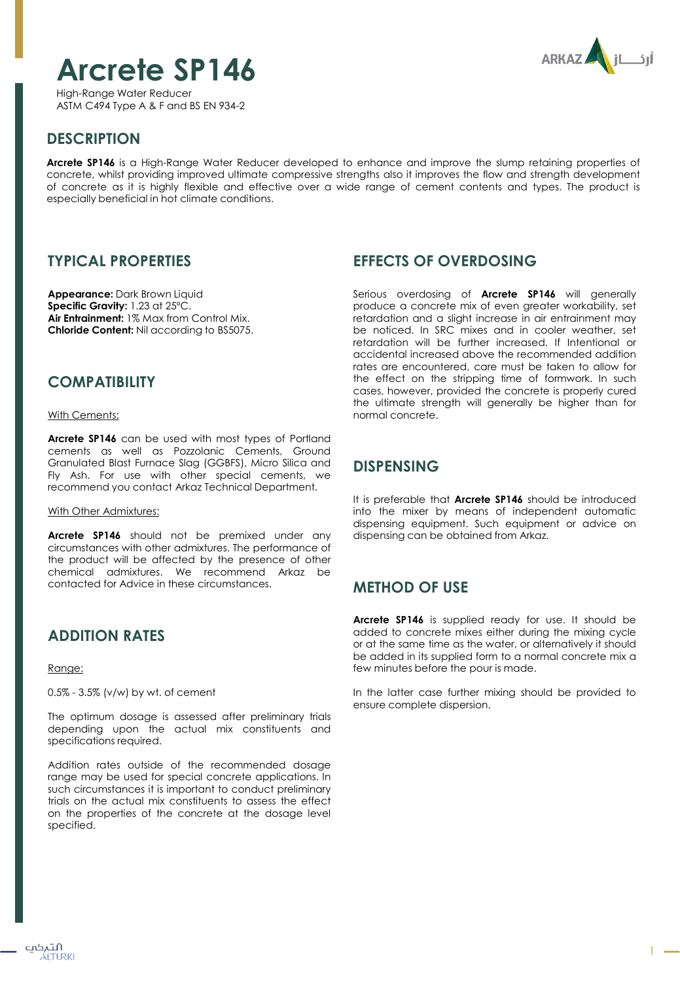# **Arcrete SP146**

ARKAZ

High-Range Water Reducer ASTM C494 Type A & F and BS EN 934-2

# **DESCRIPTION**

**Arcrete SP146** is a High-Range Water Reducer developed to enhance and improve the slump retaining properties of concrete, whilst providing improved ultimate compressive strengths also it improves the flow and strength development of concrete as it is highly flexible and effective over a wide range of cement contents and types. The product is especially beneficial in hot climate conditions.

## **TYPICAL PROPERTIES**

**Appearance:** Dark Brown Liquid **Specific Gravity:** 1.23 at 25ºC. **Air Entrainment:** 1% Max from Control Mix. **Chloride Content:** Nil according to BS5075.

## **COMPATIBILITY**

With Cements:

**Arcrete SP146** can be used with most types of Portland cements as well as Pozzolanic Cements, Ground Granulated Blast Furnace Slag (GGBFS), Micro Silica and Fly Ash. For use with other special cements, we recommend you contact Arkaz Technical Department.

#### With Other Admixtures:

**Arcrete SP146** should not be premixed under any circumstances with other admixtures. The performance of the product will be affected by the presence of other chemical admixtures. We recommend Arkaz be contacted for Advice in these circumstances.

# **ADDITION RATES**

#### Range:

0.5% - 3.5% (v/w) by wt. of cement

The optimum dosage is assessed after preliminary trials depending upon the actual mix constituents and specifications required.

Addition rates outside of the recommended dosage range may be used for special concrete applications. In such circumstances it is important to conduct preliminary trials on the actual mix constituents to assess the effect on the properties of the concrete at the dosage level specified.

### **EFFECTS OF OVERDOSING**

Serious overdosing of **Arcrete SP146** will generally produce a concrete mix of even greater workability, set retardation and a slight increase in air entrainment may be noticed. In SRC mixes and in cooler weather, set retardation will be further increased. If Intentional or accidental increased above the recommended addition rates are encountered, care must be taken to allow for the effect on the stripping time of formwork. In such cases, however, provided the concrete is properly cured the ultimate strength will generally be higher than for normal concrete.

## **DISPENSING**

It is preferable that **Arcrete SP146** should be introduced into the mixer by means of independent automatic dispensing equipment. Such equipment or advice on dispensing can be obtained from Arkaz.

# **METHOD OF USE**

**Arcrete SP146** is supplied ready for use. It should be added to concrete mixes either during the mixing cycle or at the same time as the water, or alternatively it should be added in its supplied form to a normal concrete mix a few minutes before the pour is made.

In the latter case further mixing should be provided to ensure complete dispersion.